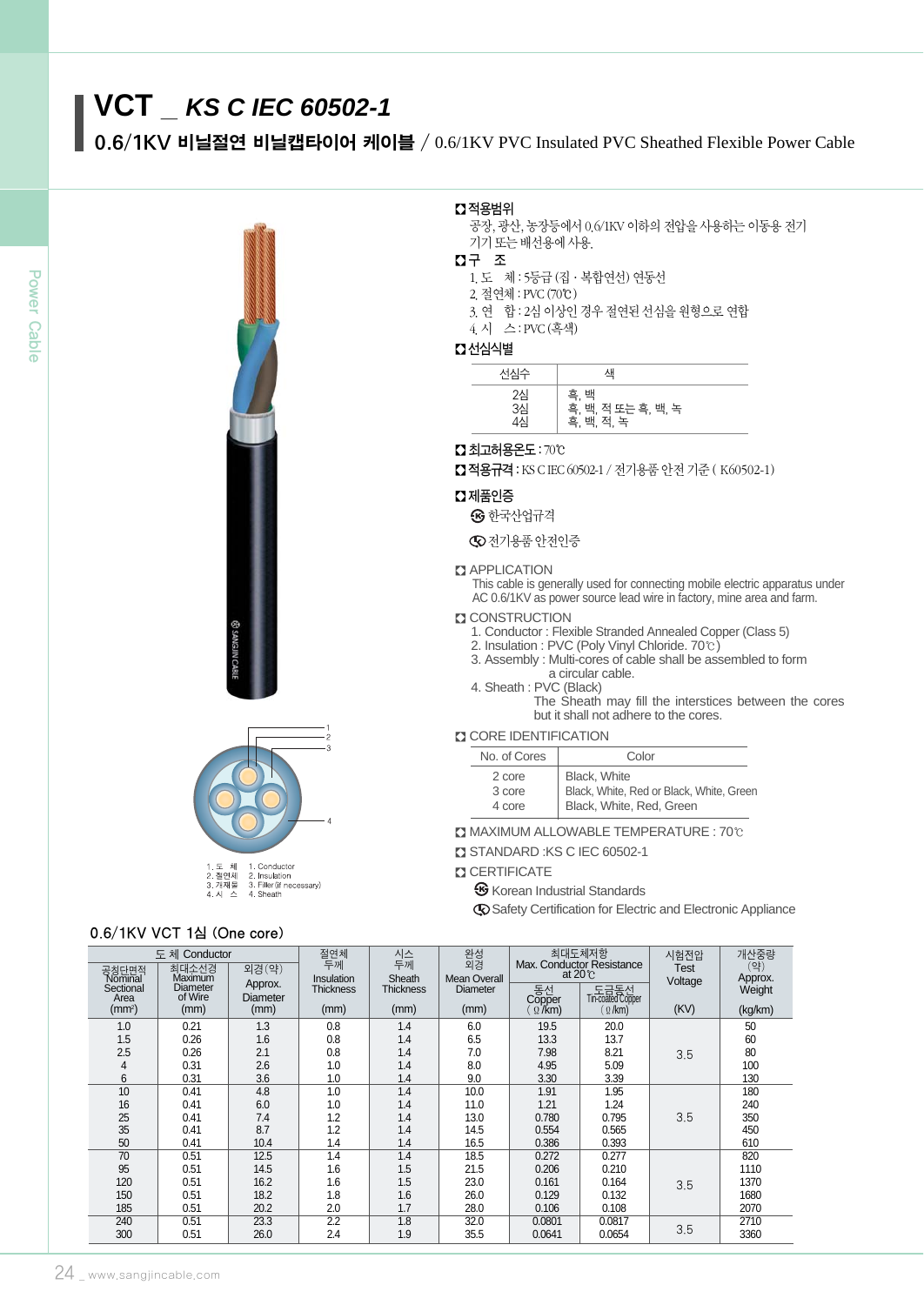# **VCT \_** *KS C IEC 60502-1*

0.6/1KV 비닐절연 비닐캡타이어 케이블 / 0.6/1KV PVC Insulated PVC Sheathed Flexible Power Cable





## 2. Insulation<br>3. Filler (if necessary)<br>4. Sheath 2.절연체<br>3.개재물

# 0.6/1KV VCT 1심 (One core)

# � 적용범위

- 공장, 광산, 농장등에서 0.6/1KV 이하의 전압을 사용하는 이동용 전기 기기 또는 배선용에 사용.
- � 구 조
	- 1.도 체 : 5등급 (집∙복합연선) 연동선
	- 2.절연체 : PVC(70℃)
	- 3.연 합 : 2심 이상인 경우 절연된 선심을 원형으로 연합
	- 4.시 스 : PVC(흑색)

## � 선심식별

| 선심수      | 색                                        |
|----------|------------------------------------------|
| 2심<br>3심 | 흑, 백<br>흑, 백, 적 또는 흑, 백, 녹<br>흑, 백, 적, 녹 |

#### � 최고허용온도 : 70℃

■ 적용규격 : KS C IEC 60502-1 / 전기용품 안전 기준 ( K60502-1)

#### $\Omega$  제품인증

- $\boldsymbol{\Theta}$  한국산업규격
- 전기용품 안전인증

#### **B** APPLICATION

This cable is generally used for connecting mobile electric apparatus under AC 0.6/1KV as power source lead wire in factory, mine area and farm.

#### **Z CONSTRUCTION**

- 1. Conductor : Flexible Stranded Annealed Copper (Class 5)
- 2. Insulation : PVC (Poly Vinyl Chloride. 70℃)
- 3. Assembly : Multi-cores of cable shall be assembled to form a circular cable.
- 4. Sheath : PVC (Black)
	- The Sheath may fill the interstices between the cores but it shall not adhere to the cores.

#### **CORE IDENTIFICATION**

| No. of Cores | Color                                    |
|--------------|------------------------------------------|
| 2 core       | Black, White                             |
| 3 core       | Black, White, Red or Black, White, Green |
| 4 core       | Black, White, Red, Green                 |

- � MAXIMUM ALLOWABLE TEMPERATURE : 70℃
- STANDARD : KS C IEC 60502-1
- **CERTIFICATE** 
	- **G** Korean Industrial Standards

Safety Certification for Electric and Electronic Appliance

|                            | 도체 Conductor               |                     | 절연체<br>두께        | 시스<br>두께         | 완성<br>외경        |                         | 최대도체저항<br>Max. Conductor Resistance | 시험전압    | 개산중량           |  |
|----------------------------|----------------------------|---------------------|------------------|------------------|-----------------|-------------------------|-------------------------------------|---------|----------------|--|
| 공칭단면적<br>Nominal           | 최대소선경<br>외경(약)<br>Maximum  |                     | Insulation       | Sheath           | Mean Overall    |                         | at $20^{\circ}$                     | Test    | (약)<br>Approx. |  |
| Sectional                  | <b>Diameter</b><br>of Wire | Approx.<br>Diameter | <b>Thickness</b> | <b>Thickness</b> | <b>Diameter</b> | 동선                      | 도금동선<br>Tin-coated Copper           | Voltage | Weight         |  |
| Area<br>(mm <sup>2</sup> ) | (mm)                       | (mm)                | (mm)             | (mm)             | (mm)            | Copper<br>$\Omega$ /km) | $\Omega$ /km)                       | (KV)    | (kg/km)        |  |
| 1.0                        | 0.21                       | 1.3                 | 0.8              | 1.4              | 6.0             | 19.5                    | 20.0                                |         | 50             |  |
| 1.5                        | 0.26                       | 1.6                 | 0.8              | 1.4              | 6.5             | 13.3                    | 13.7                                |         | 60             |  |
| 2.5                        | 0.26                       | 2.1                 | 0.8              | 1.4              | 7.0             | 7.98                    | 8.21                                | 3.5     | 80             |  |
| 4                          | 0.31                       | 2.6                 | 1.0              | 1.4              | 8.0             | 4.95                    | 5.09                                |         | 100            |  |
| 6                          | 0.31                       | 3.6                 | 1.0              | 1.4              | 9.0             | 3.30                    | 3.39                                |         | 130            |  |
| 10                         | 0.41                       | 4.8                 | 1.0              | 1.4              | 10.0            | 1.91                    | 1.95                                |         | 180            |  |
| 16                         | 0.41                       | 6.0                 | 1.0              | 1.4              | 11.0            | 1.21                    | 1.24                                |         | 240            |  |
| 25                         | 0.41                       | 7.4                 | 1.2              | 1.4              | 13.0            | 0.780                   | 0.795                               | 3.5     | 350            |  |
| 35                         | 0.41                       | 8.7                 | 1.2              | 1.4              | 14.5            | 0.554                   | 0.565                               |         | 450            |  |
| 50                         | 0.41                       | 10.4                | 1.4              | 1.4              | 16.5            | 0.386                   | 0.393                               |         | 610            |  |
| 70                         | 0.51                       | 12.5                | 1.4              | 1.4              | 18.5            | 0.272                   | 0.277                               |         | 820            |  |
| 95                         | 0.51                       | 14.5                | 1.6              | 1.5              | 21.5            | 0.206                   | 0.210                               |         | 1110           |  |
| 120                        | 0.51                       | 16.2                | 1.6              | 1.5              | 23.0            | 0.161                   | 0.164                               | 3.5     | 1370           |  |
| 150                        | 0.51                       | 18.2                | 1.8              | 1.6              | 26.0            | 0.129                   | 0.132                               |         | 1680           |  |
| 185                        | 0.51                       | 20.2                | 2.0              | 1.7              | 28.0            | 0.106                   | 0.108                               |         | 2070           |  |
| 240                        | 0.51                       | 23.3                | 2.2              | 1.8              | 32.0            | 0.0801                  | 0.0817                              | 3.5     | 2710           |  |
| 300                        | 0.51                       | 26.0                | 2.4              | 1.9              | 35.5            | 0.0641                  | 0.0654                              |         | 3360           |  |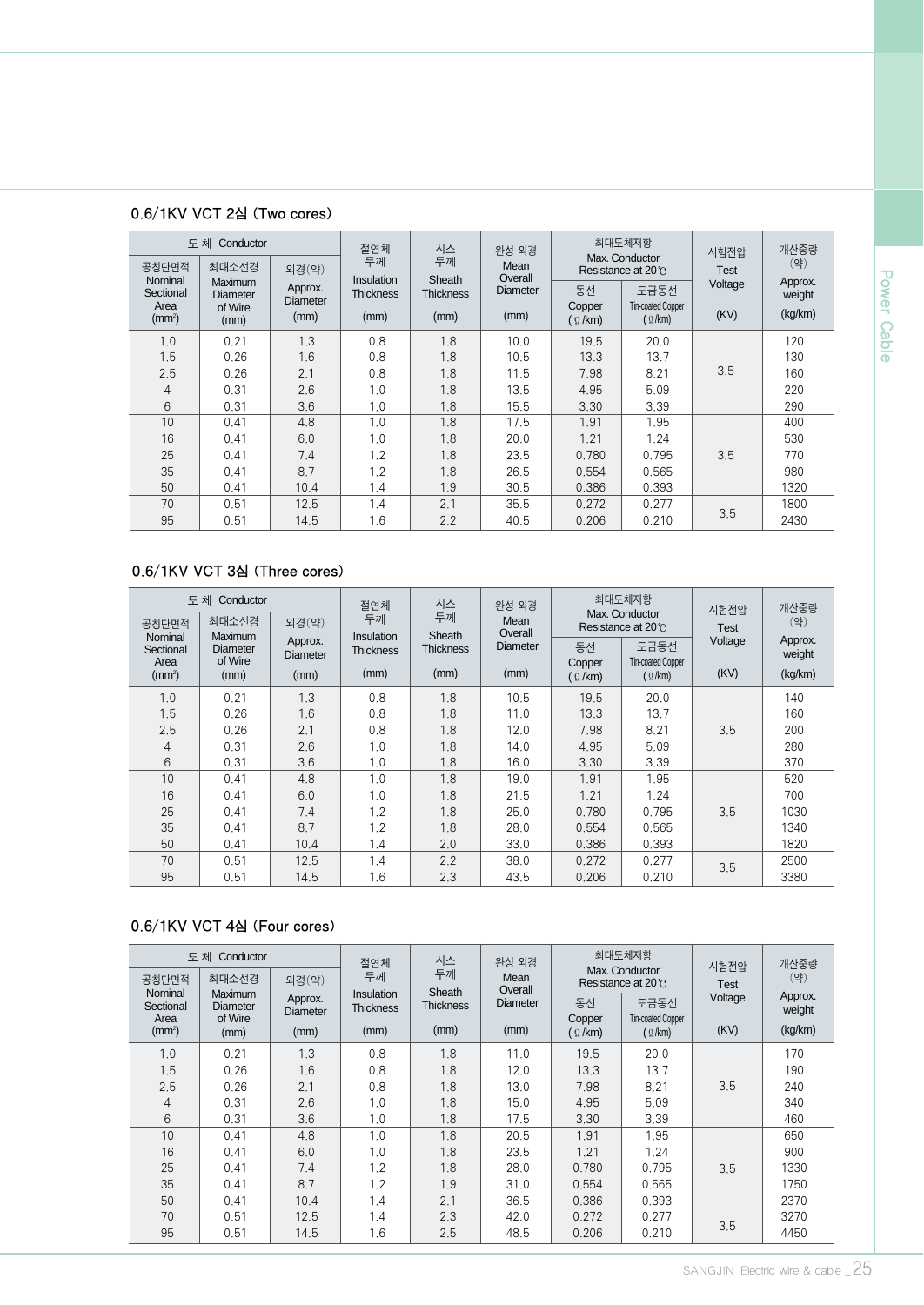|                    | 도체 Conductor                          |                            | 절연체                     | 시스<br>완성 외경      |                            |                   | 최대도체저항                               | 시험전압        | 개산중량              |
|--------------------|---------------------------------------|----------------------------|-------------------------|------------------|----------------------------|-------------------|--------------------------------------|-------------|-------------------|
| 공칭단면적<br>Nominal   | 최대소선경                                 | 외경(약)                      | 두께<br><b>Insulation</b> | 두께<br>Sheath     |                            |                   | Max. Conductor<br>Resistance at 20°C | <b>Test</b> | (약)               |
| Sectional<br>Area  | Maximum<br><b>Diameter</b><br>of Wire | Approx.<br><b>Diameter</b> | <b>Thickness</b>        | <b>Thickness</b> | Overall<br><b>Diameter</b> | 동선<br>Copper      | 도금동선<br><b>Tin-coated Copper</b>     | Voltage     | Approx.<br>weight |
| (mm <sup>2</sup> ) | (mm)                                  | (mm)                       | (mm)                    | (mm)             | (mm)                       | $($ $\Omega$ /km) | $($ $\Omega$ /km)                    | (KV)        | (kg/km)           |
| 1.0                | 0.21                                  | 1.3                        | 0.8                     | 1.8              | 10.0                       | 19.5              | 20.0                                 |             | 120               |
| 1.5                | 0.26                                  | 1.6                        | 0.8                     | 1.8              | 10.5                       | 13.3              | 13.7                                 |             | 130               |
| 2.5                | 0.26                                  | 2.1                        | 0.8                     | 1.8              | 11.5                       | 7.98              | 8.21                                 | 3.5         | 160               |
| 4                  | 0.31                                  | 2.6                        | 1.0                     | 1.8              | 13.5                       | 4.95              | 5.09                                 |             | 220               |
| 6                  | 0.31                                  | 3.6                        | 1.0                     | 1.8              | 15.5                       | 3.30              | 3.39                                 |             | 290               |
| 10                 | 0.41                                  | 4.8                        | 1.0                     | 1.8              | 17.5                       | 1.91              | 1.95                                 |             | 400               |
| 16                 | 0.41                                  | 6.0                        | 1.0                     | 1.8              | 20.0                       | 1.21              | 1.24                                 |             | 530               |
| 25                 | 0.41                                  | 7.4                        | 1.2                     | 1.8              | 23.5                       | 0.780             | 0.795                                | 3.5         | 770               |
| 35                 | 0.41                                  | 8.7                        | 1.2                     | 1.8              | 26.5                       | 0.554             | 0.565                                |             | 980               |
| 50                 | 0.41                                  | 10.4                       | 1.4                     | 1.9              | 30.5                       | 0.386             | 0.393                                |             | 1320              |
| 70                 | 0.51                                  | 12.5                       | 1.4                     | 2.1              | 35.5                       | 0.272             | 0.277                                | 3.5         | 1800              |
| 95                 | 0.51                                  | 14.5                       | 1.6                     | 2.2              | 40.5                       | 0.206             | 0.210                                |             | 2430              |

# 0.6/1KV VCT 2심 (Two cores)

# 0.6/1KV VCT 3심 (Three cores)

|                    | Conductor<br>도 체           |                             |                                       |                                     |                                        | 시스                                     | 완성 외경             |         | 최대도체저항            | 시험전압 | 개산중량 |
|--------------------|----------------------------|-----------------------------|---------------------------------------|-------------------------------------|----------------------------------------|----------------------------------------|-------------------|---------|-------------------|------|------|
| 공칭단면적<br>Nominal   | 최대소선경<br><b>Maximum</b>    | 두께<br>두께<br>외경(약)<br>Sheath |                                       | Mean<br>Overall                     | Max. Conductor<br>Resistance at 20 °C. |                                        |                   | (약)     |                   |      |      |
| Sectional<br>Area  | <b>Diameter</b><br>of Wire | Approx.<br><b>Diameter</b>  | <b>Insulation</b><br><b>Thickness</b> | <b>Diameter</b><br><b>Thickness</b> |                                        | 도금동선<br>동선<br><b>Tin-coated Copper</b> |                   | Voltage | Approx.<br>weight |      |      |
| (mm <sup>2</sup> ) | (mm)                       | (mm)                        | (mm)                                  | (mm)                                | (mm)                                   | Copper<br>$($ $\Omega$ /km)            | $($ $\Omega$ /km) | (KV)    | (kg/km)           |      |      |
| 1.0                | 0.21                       | 1.3                         | 0.8                                   | 1.8                                 | 10.5                                   | 19.5                                   | 20.0              |         | 140               |      |      |
| 1.5                | 0.26                       | 1.6                         | 0.8                                   | 1.8                                 | 11.0                                   | 13.3                                   | 13.7              |         | 160               |      |      |
| 2.5                | 0.26                       | 2.1                         | 0.8                                   | 1.8                                 | 12.0                                   | 7.98                                   | 8.21              | 3.5     | 200               |      |      |
| 4                  | 0.31                       | 2.6                         | 1.0                                   | 1.8                                 | 14.0                                   | 4.95                                   | 5.09              |         | 280               |      |      |
| 6                  | 0.31                       | 3.6                         | 1.0                                   | 1.8                                 | 16.0                                   | 3.30                                   | 3.39              |         | 370               |      |      |
| 10                 | 0.41                       | 4.8                         | 1.0                                   | 1.8                                 | 19.0                                   | 1.91                                   | 1.95              |         | 520               |      |      |
| 16                 | 0.41                       | 6.0                         | 1.0                                   | 1.8                                 | 21.5                                   | 1.21                                   | 1.24              |         | 700               |      |      |
| 25                 | 0.41                       | 7.4                         | 1.2                                   | 1.8                                 | 25.0                                   | 0.780                                  | 0.795             | 3.5     | 1030              |      |      |
| 35                 | 0.41                       | 8.7                         | 1.2                                   | 1.8                                 | 28.0                                   | 0.554                                  | 0.565             |         | 1340              |      |      |
| 50                 | 0.41                       | 10.4                        | 1.4                                   | 2.0                                 | 33.0                                   | 0.386                                  | 0.393             |         | 1820              |      |      |
| 70                 | 0.51                       | 12.5                        | 1.4                                   | 2.2                                 | 38.0                                   | 0.272                                  | 0.277             | 3.5     | 2500              |      |      |
| 95                 | 0.51                       | 14.5                        | 1.6                                   | 2.3                                 | 43.5                                   | 0.206                                  | 0.210             |         | 3380              |      |      |

## 0.6/1KV VCT 4심 (Four cores)

|                    | 도체 Conductor               |                            | 절연체                            | 최대도체저항<br>시스<br>완성 외경<br>시험전압<br>Max. Conductor |                 |                             |                                  |             | 개산중량              |
|--------------------|----------------------------|----------------------------|--------------------------------|-------------------------------------------------|-----------------|-----------------------------|----------------------------------|-------------|-------------------|
| 공칭단면적<br>Nominal   | 최대소선경<br><b>Maximum</b>    | 외경(약)                      | 두께                             | 두께<br>Sheath                                    | Mean<br>Overall |                             | Resistance at 20°C               | <b>Test</b> | (약)               |
| Sectional<br>Area  | <b>Diameter</b><br>of Wire | Approx.<br><b>Diameter</b> | Insulation<br><b>Thickness</b> | <b>Thickness</b>                                | <b>Diameter</b> | 동선                          | 도금동선<br><b>Tin-coated Copper</b> | Voltage     | Approx.<br>weight |
| (mm <sup>2</sup> ) | (mm)                       | (mm)                       | (mm)                           | (mm)                                            | (mm)            | Copper<br>$($ $\Omega$ /km) | $($ $\Omega$ /km)                | (KV)        | (kg/km)           |
| 1.0                | 0.21                       | 1.3                        | 0.8                            | 1.8                                             | 11.0            | 19.5                        | 20.0                             |             | 170               |
| 1.5                | 0.26                       | 1.6                        | 0.8                            | 1.8                                             | 12.0            | 13.3                        | 13.7                             |             | 190               |
| 2.5                | 0.26                       | 2.1                        | 0.8                            | 1.8                                             | 13.0            | 7.98                        | 8.21                             | 3.5         | 240               |
| 4                  | 0.31                       | 2.6                        | 1.0                            | 1.8                                             | 15.0            | 4.95                        | 5.09                             |             | 340               |
| 6                  | 0.31                       | 3.6                        | 1.0                            | 1.8                                             | 17.5            | 3.30                        | 3.39                             |             | 460               |
| 10                 | 0.41                       | 4.8                        | 1.0                            | 1.8                                             | 20.5            | 1.91                        | 1.95                             |             | 650               |
| 16                 | 0.41                       | 6.0                        | 1.0                            | 1.8                                             | 23.5            | 1.21                        | 1.24                             |             | 900               |
| 25                 | 0.41                       | 7.4                        | 1.2                            | 1.8                                             | 28.0            | 0.780                       | 0.795                            | 3.5         | 1330              |
| 35                 | 0.41                       | 8.7                        | 1.2                            | 1.9                                             | 31.0            | 0.554                       | 0.565                            |             | 1750              |
| 50                 | 0.41                       | 10.4                       | 1.4                            | 2.1                                             | 36.5            | 0.386                       | 0.393                            |             | 2370              |
| 70                 | 0.51                       | 12.5                       | 1.4                            | 2.3                                             | 42.0            | 0.272                       | 0.277                            |             | 3270              |
| 95                 | 0.51                       | 14.5                       | 1.6                            | 2.5                                             | 48.5            | 0.206                       | 0.210                            | 3.5         | 4450              |